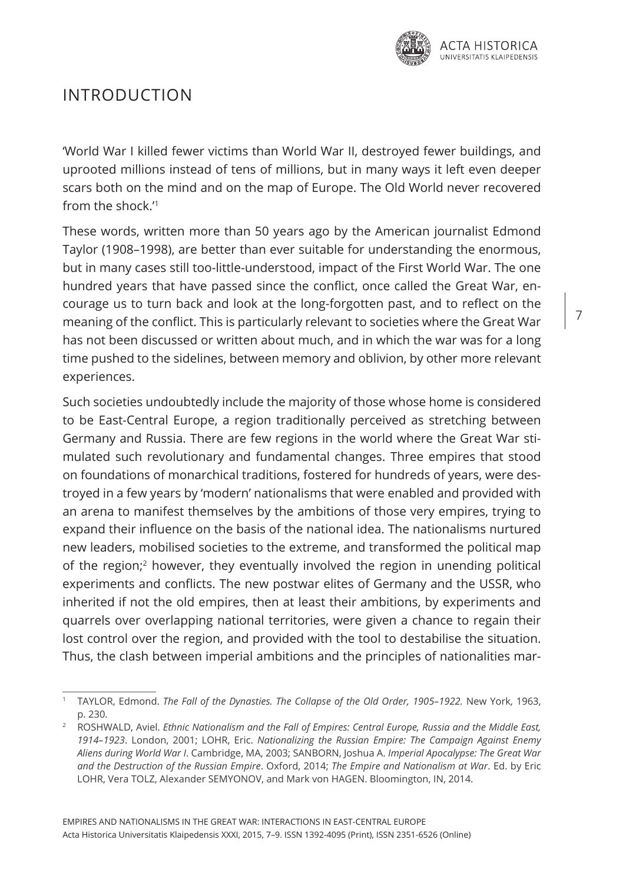

## Introduction

'World War I killed fewer victims than World War II, destroyed fewer buildings, and uprooted millions instead of tens of millions, but in many ways it left even deeper scars both on the mind and on the map of Europe. The Old World never recovered from the shock.<sup>'1</sup>

These words, written more than 50 years ago by the American journalist Edmond Taylor (1908–1998), are better than ever suitable for understanding the enormous, but in many cases still too-little-understood, impact of the First World War. The one hundred years that have passed since the conflict, once called the Great War, encourage us to turn back and look at the long-forgotten past, and to reflect on the meaning of the conflict. This is particularly relevant to societies where the Great War has not been discussed or written about much, and in which the war was for a long time pushed to the sidelines, between memory and oblivion, by other more relevant experiences.

Such societies undoubtedly include the majority of those whose home is considered to be East-Central Europe, a region traditionally perceived as stretching between Germany and Russia. There are few regions in the world where the Great War stimulated such revolutionary and fundamental changes. Three empires that stood on foundations of monarchical traditions, fostered for hundreds of years, were destroyed in a few years by 'modern' nationalisms that were enabled and provided with an arena to manifest themselves by the ambitions of those very empires, trying to expand their influence on the basis of the national idea. The nationalisms nurtured new leaders, mobilised societies to the extreme, and transformed the political map of the region;2 however, they eventually involved the region in unending political experiments and conflicts. The new postwar elites of Germany and the USSR, who inherited if not the old empires, then at least their ambitions, by experiments and quarrels over overlapping national territories, were given a chance to regain their lost control over the region, and provided with the tool to destabilise the situation. Thus, the clash between imperial ambitions and the principles of nationalities mar-

<sup>1</sup> TAYLOR, Edmond. *The Fall of the Dynasties. The Collapse of the Old Order, 1905–1922.* New York, 1963, p. 230.

<sup>2</sup> ROSHWALD, Aviel. *Ethnic Nationalism and the Fall of Empires: Central Europe, Russia and the Middle East, 1914–1923*. London, 2001; LOHR, Eric. *Nationalizing the Russian Empire: The Campaign Against Enemy Aliens during World War I*. Cambridge, MA, 2003; SANBORN, Joshua A. *Imperial Apocalypse: The Great War and the Destruction of the Russian Empire*. Oxford, 2014; *The Empire and Nationalism at War*. Ed. by Eric LOHR, Vera TOLZ, Alexander SEMYONOV, and Mark von HAGEN. Bloomington, IN, 2014.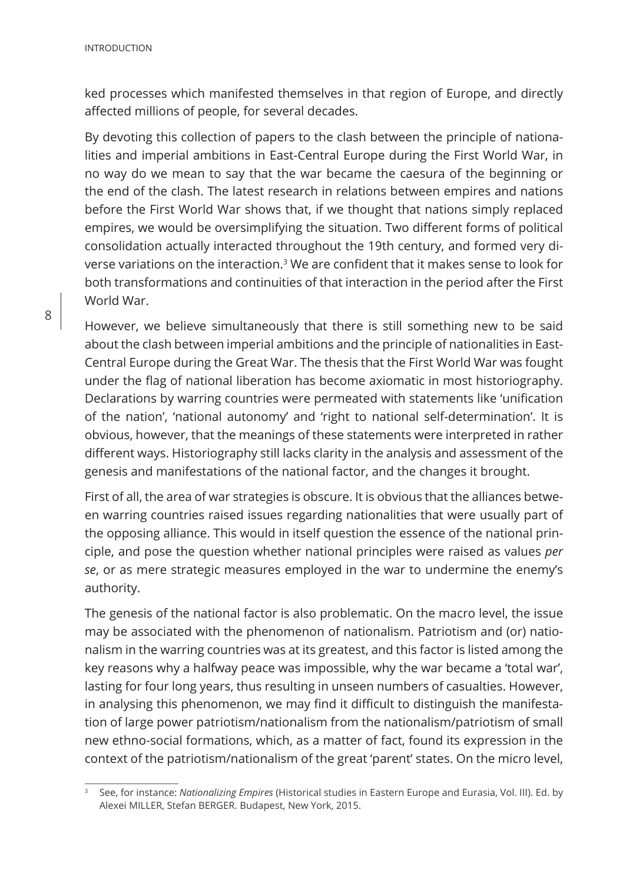ked processes which manifested themselves in that region of Europe, and directly affected millions of people, for several decades.

By devoting this collection of papers to the clash between the principle of nationalities and imperial ambitions in East-Central Europe during the First World War, in no way do we mean to say that the war became the caesura of the beginning or the end of the clash. The latest research in relations between empires and nations before the First World War shows that, if we thought that nations simply replaced empires, we would be oversimplifying the situation. Two different forms of political consolidation actually interacted throughout the 19th century, and formed very diverse variations on the interaction.3 We are confident that it makes sense to look for both transformations and continuities of that interaction in the period after the First World War.

However, we believe simultaneously that there is still something new to be said about the clash between imperial ambitions and the principle of nationalities in East-Central Europe during the Great War. The thesis that the First World War was fought under the flag of national liberation has become axiomatic in most historiography. Declarations by warring countries were permeated with statements like 'unification of the nation', 'national autonomy' and 'right to national self-determination'. It is obvious, however, that the meanings of these statements were interpreted in rather different ways. Historiography still lacks clarity in the analysis and assessment of the genesis and manifestations of the national factor, and the changes it brought.

First of all, the area of war strategies is obscure. It is obvious that the alliances between warring countries raised issues regarding nationalities that were usually part of the opposing alliance. This would in itself question the essence of the national principle, and pose the question whether national principles were raised as values *per se*, or as mere strategic measures employed in the war to undermine the enemy's authority.

The genesis of the national factor is also problematic. On the macro level, the issue may be associated with the phenomenon of nationalism. Patriotism and (or) nationalism in the warring countries was at its greatest, and this factor is listed among the key reasons why a halfway peace was impossible, why the war became a 'total war', lasting for four long years, thus resulting in unseen numbers of casualties. However, in analysing this phenomenon, we may find it difficult to distinguish the manifestation of large power patriotism/nationalism from the nationalism/patriotism of small new ethno-social formations, which, as a matter of fact, found its expression in the context of the patriotism/nationalism of the great 'parent' states. On the micro level,

<sup>3</sup> See, for instance: *Nationalizing Empires* (Historical studies in Eastern Europe and Eurasia, Vol. III). Ed. by Alexei MILLER, Stefan BERGER. Budapest, New York, 2015.